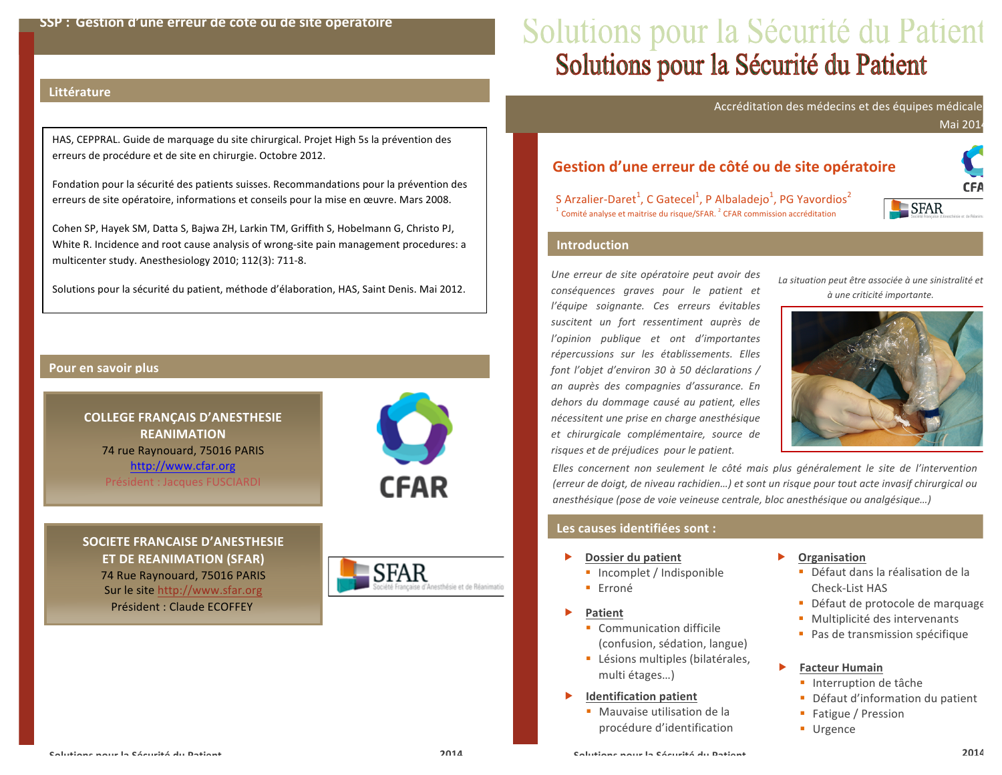# Solutions pour la Sécurité du Patient<br>Solutions pour la Sécurité du Patient

Accréditation des médecins et des équipes médicale

**Mai 201** 

HAS, CEPPRAL. Guide de marquage du site chirurgical. Projet High 5s la prévention des erreurs de procédure et de site en chirurgie. Octobre 2012.

Fondation pour la sécurité des patients suisses. Recommandations pour la prévention des erreurs de site opératoire, informations et conseils pour la mise en œuvre. Mars 2008.

Cohen SP, Hayek SM, Datta S, Bajwa ZH, Larkin TM, Griffith S, Hobelmann G, Christo PJ, White R. Incidence and root cause analysis of wrong-site pain management procedures: a multicenter study. Anesthesiology 2010; 112(3): 711-8.

Solutions pour la sécurité du patient, méthode d'élaboration, HAS, Saint Denis. Mai 2012.

#### Pour en savoir plus

**Littérature** 

## **COLLEGE FRANCAIS D'ANESTHESIE REANIMATION** 74 rue Raynouard, 75016 PARIS http://www.cfar.org

Président : Jacques FUSCIARDI



SOCIETE FRANCAISE D'ANESTHESIE **ET DE REANIMATION (SFAR)** 74 Rue Raynouard, 75016 PARIS Sur le site http://www.sfar.org Président : Claude FCOFFFY



## Gestion d'une erreur de côté ou de site opératoire

S Arzalier-Daret<sup>1</sup>, C Gatecel<sup>1</sup>, P Albaladejo<sup>1</sup>, PG Yavordios<sup>2</sup> <sup>1</sup> Comité analyse et maitrise du risque/SFAR.<sup>2</sup> CFAR commission accréditation



#### **Introduction**

Une erreur de site opératoire peut avoir des conséquences graves pour le patient et l'équipe soignante. Ces erreurs évitables suscitent un fort ressentiment auprès de l'opinion publique et ont d'importantes répercussions sur les établissements. Elles font l'objet d'environ 30 à 50 déclarations / an auprès des compagnies d'assurance. En dehors du dommage causé au patient, elles nécessitent une prise en charge anesthésique et chirurgicale complémentaire, source de risques et de préjudices pour le patient.

La situation peut être associée à une sinistralité et à une criticité importante.



Elles concernent non seulement le côté mais plus généralement le site de l'intervention (erreur de doigt, de niveau rachidien...) et sont un risque pour tout acte invasif chirurgical ou anesthésique (pose de voie veineuse centrale, bloc anesthésique ou analgésique...)

#### Les causes identifiées sont :

- Dossier du patient
	- Incomplet / Indisponible
	- **Erroné**
- Patient
	- Communication difficile (confusion, sédation, langue)
	- Lésions multiples (bilatérales, multi étages...)
- Ы **Identification patient** 
	- Mauvaise utilisation de la procédure d'identification
- Organisation
	- Défaut dans la réalisation de la Check-List HAS
	- Défaut de protocole de marquage
	- · Multiplicité des intervenants
	- Pas de transmission spécifique
- ь **Facteur Humain** 
	- Interruption de tâche
	- Défaut d'information du patient
	- Fatigue / Pression
	- **Urgence**